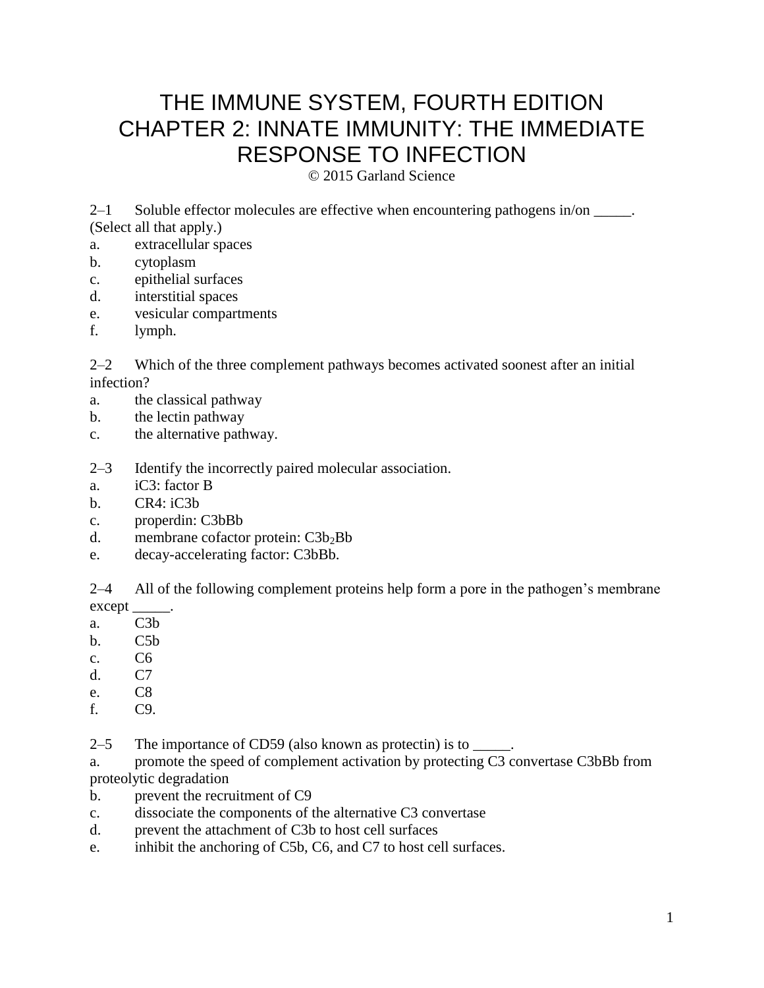# THE IMMUNE SYSTEM, FOURTH EDITION CHAPTER 2: INNATE IMMUNITY: THE IMMEDIATE RESPONSE TO INFECTION

© 2015 Garland Science

2–1 Soluble effector molecules are effective when encountering pathogens in/on \_\_\_\_\_. (Select all that apply.)

- a. extracellular spaces
- b. cytoplasm
- c. epithelial surfaces
- d. interstitial spaces
- e. vesicular compartments
- f. lymph.

2–2 Which of the three complement pathways becomes activated soonest after an initial infection?

- a. the classical pathway
- b. the lectin pathway
- c. the alternative pathway.

2–3 Identify the incorrectly paired molecular association.

- a. iC3: factor B
- b. CR4: iC3b
- c. properdin: C3bBb
- d. membrane cofactor protein:  $C3b_2Bb$
- e. decay-accelerating factor: C3bBb.

2–4 All of the following complement proteins help form a pore in the pathogen's membrane except\_

- a. C3b
- b. C5b
- c. C6
- d. C7
- e. C8
- f. C9.
- 2–5 The importance of CD59 (also known as protectin) is to \_\_\_\_\_.

a. promote the speed of complement activation by protecting C3 convertase C3bBb from proteolytic degradation

- b. prevent the recruitment of C9
- c. dissociate the components of the alternative C3 convertase
- d. prevent the attachment of C3b to host cell surfaces
- e. inhibit the anchoring of C5b, C6, and C7 to host cell surfaces.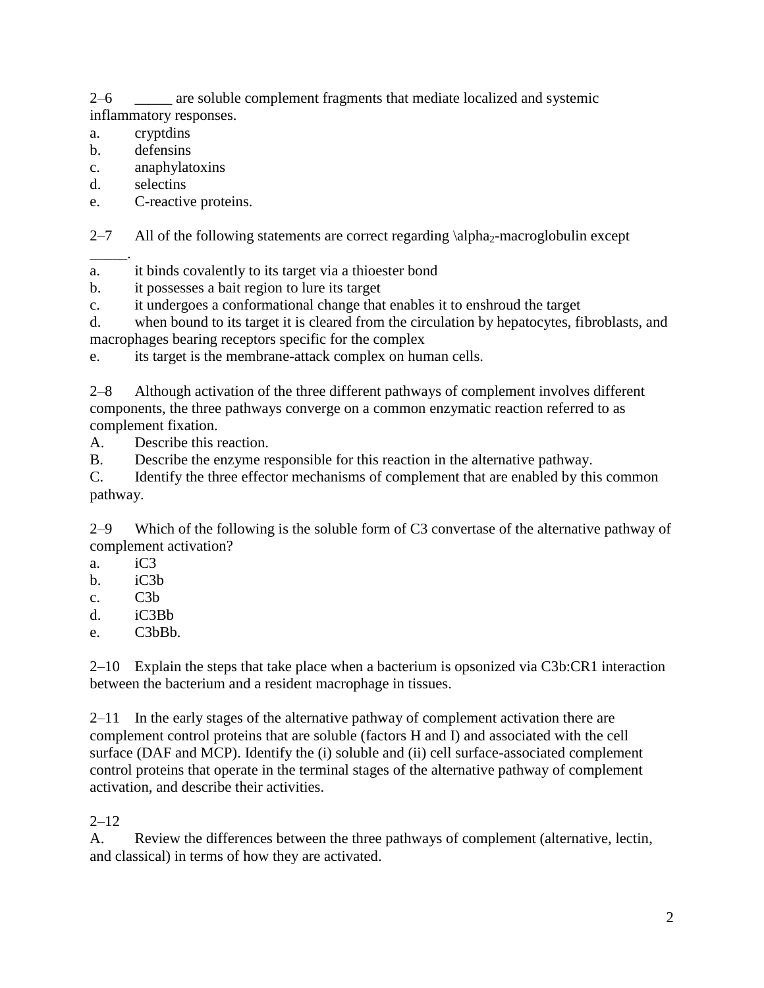2–6 \_\_\_\_\_ are soluble complement fragments that mediate localized and systemic inflammatory responses.

a. cryptdins

- b. defensins
- c. anaphylatoxins
- d. selectins
- e. C-reactive proteins.

2–7 All of the following statements are correct regarding  $\alpha_2$ -macroglobulin except

\_\_\_\_\_. a. it binds covalently to its target via a thioester bond

- b. it possesses a bait region to lure its target
- c. it undergoes a conformational change that enables it to enshroud the target

d. when bound to its target it is cleared from the circulation by hepatocytes, fibroblasts, and macrophages bearing receptors specific for the complex

e. its target is the membrane-attack complex on human cells.

2–8 Although activation of the three different pathways of complement involves different components, the three pathways converge on a common enzymatic reaction referred to as complement fixation.

A. Describe this reaction.

B. Describe the enzyme responsible for this reaction in the alternative pathway.

C. Identify the three effector mechanisms of complement that are enabled by this common pathway.

2–9 Which of the following is the soluble form of C3 convertase of the alternative pathway of complement activation?

- a. iC3
- b. iC3b
- c. C3b
- d. iC3Bb
- e. C3bBb.

2–10 Explain the steps that take place when a bacterium is opsonized via C3b:CR1 interaction between the bacterium and a resident macrophage in tissues.

2–11 In the early stages of the alternative pathway of complement activation there are complement control proteins that are soluble (factors H and I) and associated with the cell surface (DAF and MCP). Identify the (i) soluble and (ii) cell surface-associated complement control proteins that operate in the terminal stages of the alternative pathway of complement activation, and describe their activities.

## $2 - 12$

A. Review the differences between the three pathways of complement (alternative, lectin, and classical) in terms of how they are activated.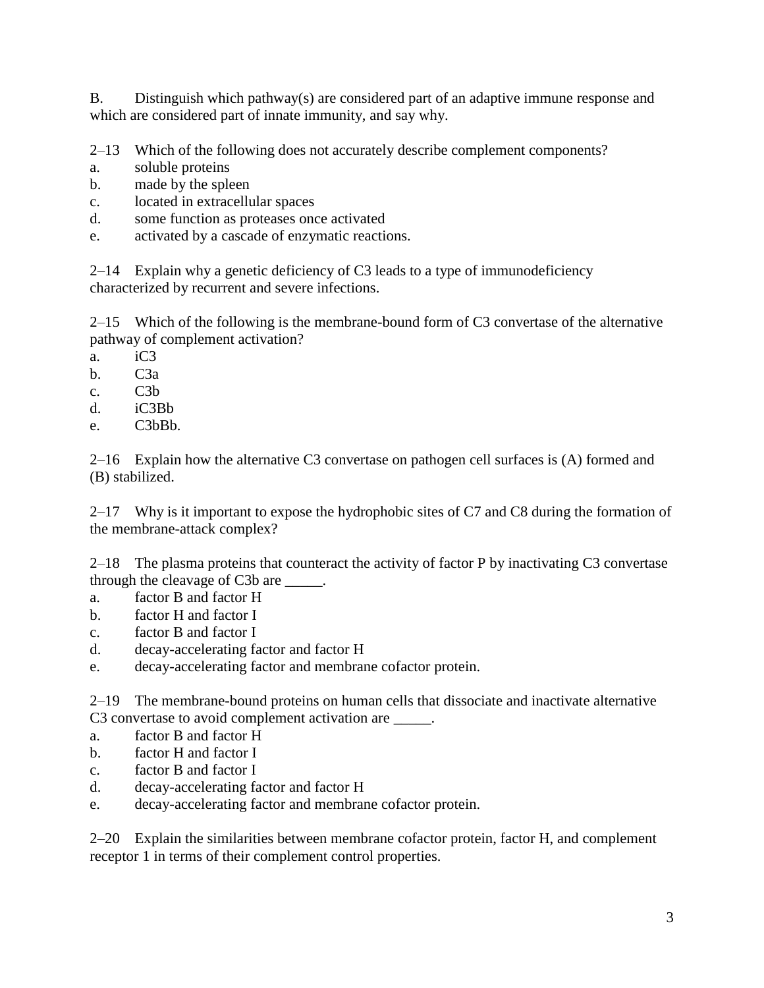B. Distinguish which pathway(s) are considered part of an adaptive immune response and which are considered part of innate immunity, and say why.

2–13 Which of the following does not accurately describe complement components?

- a. soluble proteins
- b. made by the spleen
- c. located in extracellular spaces
- d. some function as proteases once activated
- e. activated by a cascade of enzymatic reactions.

2–14 Explain why a genetic deficiency of C3 leads to a type of immunodeficiency characterized by recurrent and severe infections.

2–15 Which of the following is the membrane-bound form of C3 convertase of the alternative pathway of complement activation?

- a. iC3
- b. C3a
- c. C3b
- d. iC3Bb
- e. C3bBb.

2–16 Explain how the alternative C3 convertase on pathogen cell surfaces is (A) formed and (B) stabilized.

2–17 Why is it important to expose the hydrophobic sites of C7 and C8 during the formation of the membrane-attack complex?

2–18 The plasma proteins that counteract the activity of factor P by inactivating C3 convertase through the cleavage of C3b are \_\_\_\_\_.

- a. factor B and factor H
- b. factor H and factor I
- c. factor B and factor I
- d. decay-accelerating factor and factor H
- e. decay-accelerating factor and membrane cofactor protein.

2–19 The membrane-bound proteins on human cells that dissociate and inactivate alternative C3 convertase to avoid complement activation are \_\_\_\_\_.

- a. factor B and factor H
- b. factor H and factor I
- c. factor B and factor I
- d. decay-accelerating factor and factor H
- e. decay-accelerating factor and membrane cofactor protein.

2–20 Explain the similarities between membrane cofactor protein, factor H, and complement receptor 1 in terms of their complement control properties.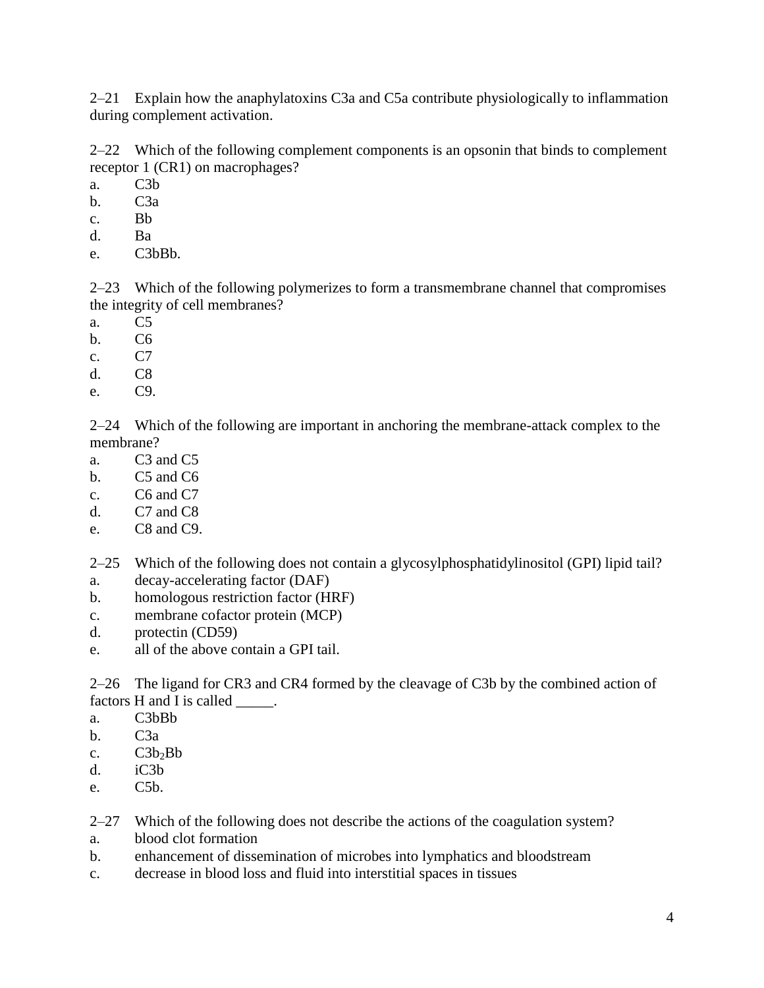2–21 Explain how the anaphylatoxins C3a and C5a contribute physiologically to inflammation during complement activation.

2–22 Which of the following complement components is an opsonin that binds to complement receptor 1 (CR1) on macrophages?

a. C3b

- b. C3a
- c. Bb
- d. Ba
- e. C3bBb.

2–23 Which of the following polymerizes to form a transmembrane channel that compromises the integrity of cell membranes?

- a. C5
- b. C6
- c. C7
- d. C8
- e. C9.

2–24 Which of the following are important in anchoring the membrane-attack complex to the membrane?

- a. C3 and C5
- b. C5 and C6
- c. C6 and C7
- d. C7 and C8
- e. C8 and C9.

2–25 Which of the following does not contain a glycosylphosphatidylinositol (GPI) lipid tail?

- a. decay-accelerating factor (DAF)
- b. homologous restriction factor (HRF)
- c. membrane cofactor protein (MCP)
- d. protectin (CD59)
- e. all of the above contain a GPI tail.

2–26 The ligand for CR3 and CR4 formed by the cleavage of C3b by the combined action of factors H and I is called  $\qquad$ .

- a. C3bBb
- b.  $C3a$
- c.  $C3b_2Bb$
- d. iC3b
- e. C5b.

2–27 Which of the following does not describe the actions of the coagulation system?

- a. blood clot formation
- b. enhancement of dissemination of microbes into lymphatics and bloodstream
- c. decrease in blood loss and fluid into interstitial spaces in tissues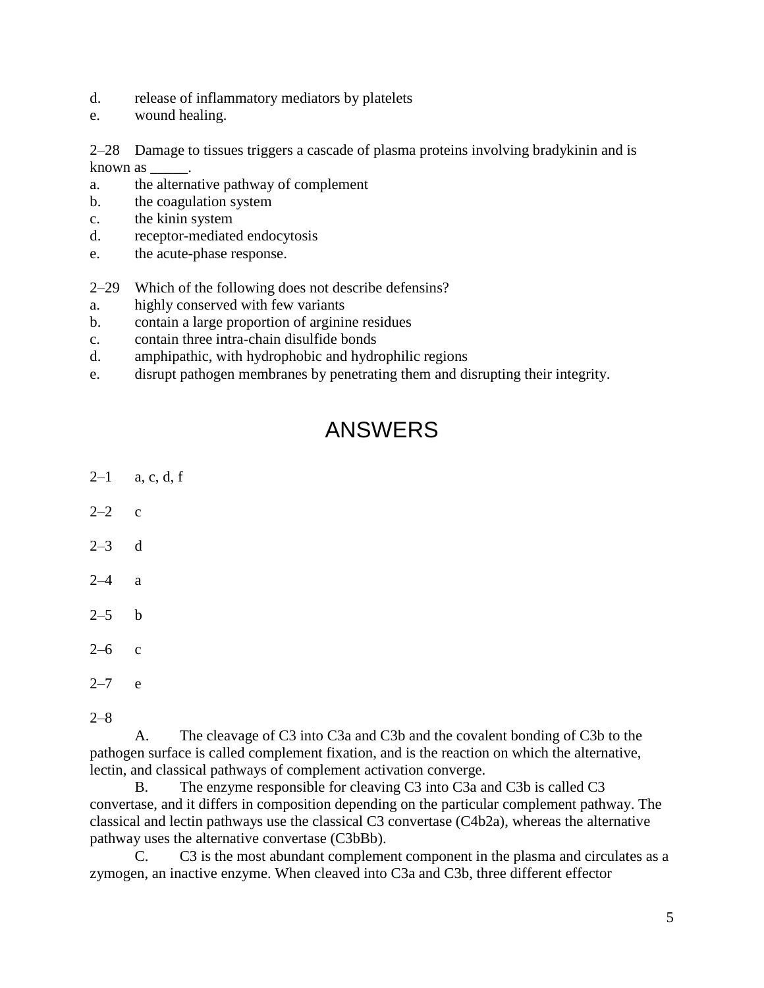- d. release of inflammatory mediators by platelets
- e. wound healing.

2–28 Damage to tissues triggers a cascade of plasma proteins involving bradykinin and is known as \_\_\_\_\_.

- a. the alternative pathway of complement
- b. the coagulation system
- c. the kinin system
- d. receptor-mediated endocytosis
- e. the acute-phase response.
- 2–29 Which of the following does not describe defensins?
- a. highly conserved with few variants
- b. contain a large proportion of arginine residues
- c. contain three intra-chain disulfide bonds
- d. amphipathic, with hydrophobic and hydrophilic regions
- e. disrupt pathogen membranes by penetrating them and disrupting their integrity.

# ANSWERS

- $2-1$  a, c, d, f
- $2-2$  c
- $2-3$  d
- 2–4 a
- $2-5$  b
- $2-6$  c
- $2 7$  e
- 2–8

A. The cleavage of C3 into C3a and C3b and the covalent bonding of C3b to the pathogen surface is called complement fixation, and is the reaction on which the alternative, lectin, and classical pathways of complement activation converge.

B. The enzyme responsible for cleaving C3 into C3a and C3b is called C3 convertase, and it differs in composition depending on the particular complement pathway. The classical and lectin pathways use the classical C3 convertase (C4b2a), whereas the alternative pathway uses the alternative convertase (C3bBb).

C. C3 is the most abundant complement component in the plasma and circulates as a zymogen, an inactive enzyme. When cleaved into C3a and C3b, three different effector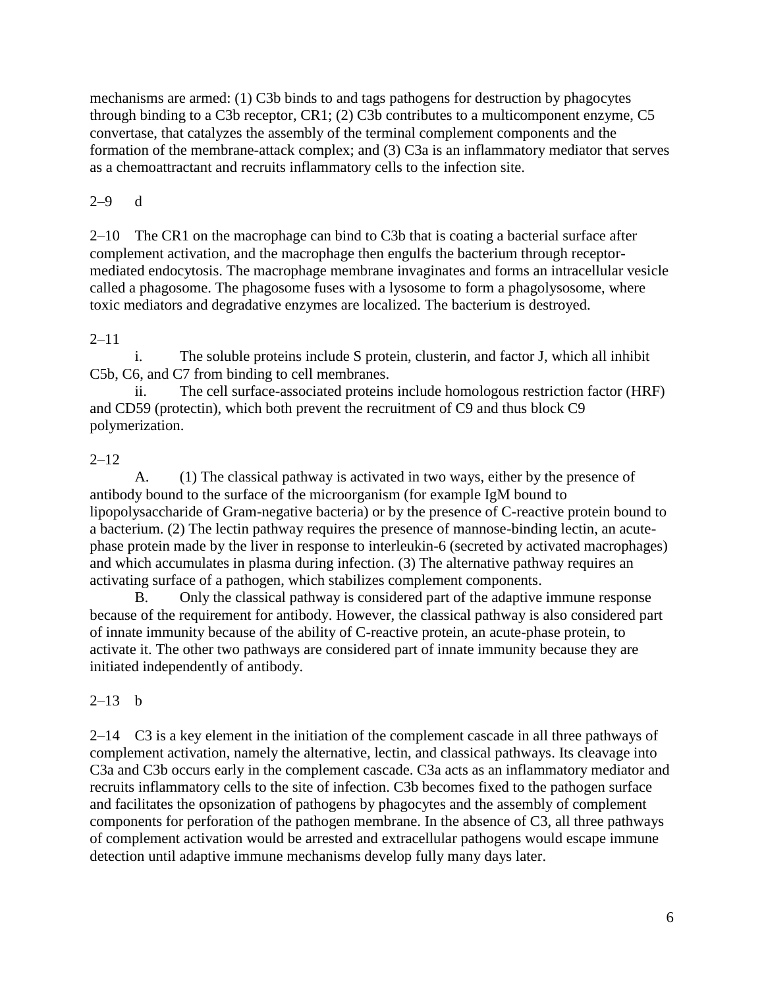mechanisms are armed: (1) C3b binds to and tags pathogens for destruction by phagocytes through binding to a C3b receptor, CR1; (2) C3b contributes to a multicomponent enzyme, C5 convertase, that catalyzes the assembly of the terminal complement components and the formation of the membrane-attack complex; and (3) C3a is an inflammatory mediator that serves as a chemoattractant and recruits inflammatory cells to the infection site.

#### 2–9 d

2–10 The CR1 on the macrophage can bind to C3b that is coating a bacterial surface after complement activation, and the macrophage then engulfs the bacterium through receptormediated endocytosis. The macrophage membrane invaginates and forms an intracellular vesicle called a phagosome. The phagosome fuses with a lysosome to form a phagolysosome, where toxic mediators and degradative enzymes are localized. The bacterium is destroyed.

### $2 - 11$

i. The soluble proteins include S protein, clusterin, and factor J, which all inhibit C5b, C6, and C7 from binding to cell membranes.

ii. The cell surface-associated proteins include homologous restriction factor (HRF) and CD59 (protectin), which both prevent the recruitment of C9 and thus block C9 polymerization.

#### 2–12

A. (1) The classical pathway is activated in two ways, either by the presence of antibody bound to the surface of the microorganism (for example IgM bound to lipopolysaccharide of Gram-negative bacteria) or by the presence of C-reactive protein bound to a bacterium. (2) The lectin pathway requires the presence of mannose-binding lectin, an acutephase protein made by the liver in response to interleukin-6 (secreted by activated macrophages) and which accumulates in plasma during infection. (3) The alternative pathway requires an activating surface of a pathogen, which stabilizes complement components.

B. Only the classical pathway is considered part of the adaptive immune response because of the requirement for antibody. However, the classical pathway is also considered part of innate immunity because of the ability of C-reactive protein, an acute-phase protein, to activate it. The other two pathways are considered part of innate immunity because they are initiated independently of antibody.

### $2-13$  b

2–14 C3 is a key element in the initiation of the complement cascade in all three pathways of complement activation, namely the alternative, lectin, and classical pathways. Its cleavage into C3a and C3b occurs early in the complement cascade. C3a acts as an inflammatory mediator and recruits inflammatory cells to the site of infection. C3b becomes fixed to the pathogen surface and facilitates the opsonization of pathogens by phagocytes and the assembly of complement components for perforation of the pathogen membrane. In the absence of C3, all three pathways of complement activation would be arrested and extracellular pathogens would escape immune detection until adaptive immune mechanisms develop fully many days later.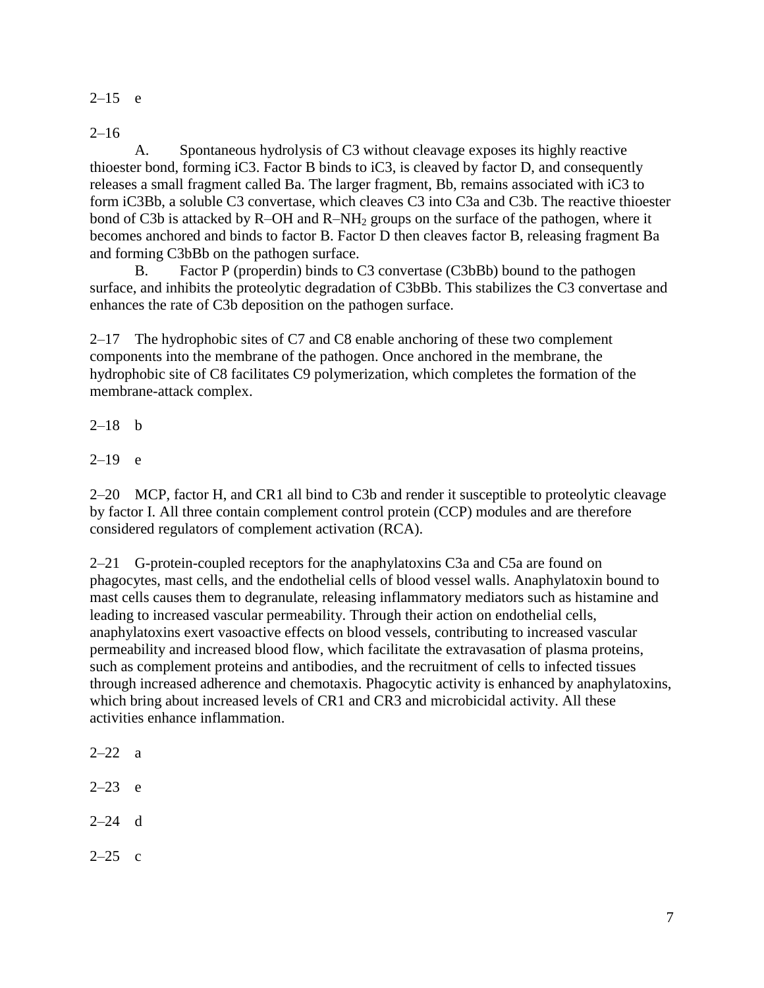$2-15$  e

 $2 - 16$ 

A. Spontaneous hydrolysis of C3 without cleavage exposes its highly reactive thioester bond, forming iC3. Factor B binds to iC3, is cleaved by factor D, and consequently releases a small fragment called Ba. The larger fragment, Bb, remains associated with iC3 to form iC3Bb, a soluble C3 convertase, which cleaves C3 into C3a and C3b. The reactive thioester bond of C3b is attacked by  $R$ –OH and  $R$ –NH<sub>2</sub> groups on the surface of the pathogen, where it becomes anchored and binds to factor B. Factor D then cleaves factor B, releasing fragment Ba and forming C3bBb on the pathogen surface.

B. Factor P (properdin) binds to C3 convertase (C3bBb) bound to the pathogen surface, and inhibits the proteolytic degradation of C3bBb. This stabilizes the C3 convertase and enhances the rate of C3b deposition on the pathogen surface.

2–17 The hydrophobic sites of C7 and C8 enable anchoring of these two complement components into the membrane of the pathogen. Once anchored in the membrane, the hydrophobic site of C8 facilitates C9 polymerization, which completes the formation of the membrane-attack complex.

 $2-18$  b

 $2-19$  e

2–20 MCP, factor H, and CR1 all bind to C3b and render it susceptible to proteolytic cleavage by factor I. All three contain complement control protein (CCP) modules and are therefore considered regulators of complement activation (RCA).

2–21 G-protein-coupled receptors for the anaphylatoxins C3a and C5a are found on phagocytes, mast cells, and the endothelial cells of blood vessel walls. Anaphylatoxin bound to mast cells causes them to degranulate, releasing inflammatory mediators such as histamine and leading to increased vascular permeability. Through their action on endothelial cells, anaphylatoxins exert vasoactive effects on blood vessels, contributing to increased vascular permeability and increased blood flow, which facilitate the extravasation of plasma proteins, such as complement proteins and antibodies, and the recruitment of cells to infected tissues through increased adherence and chemotaxis. Phagocytic activity is enhanced by anaphylatoxins, which bring about increased levels of CR1 and CR3 and microbicidal activity. All these activities enhance inflammation.

 $2 - 22$  a

- $2 23$  e
- $2-24$  d
- $2-25$  c